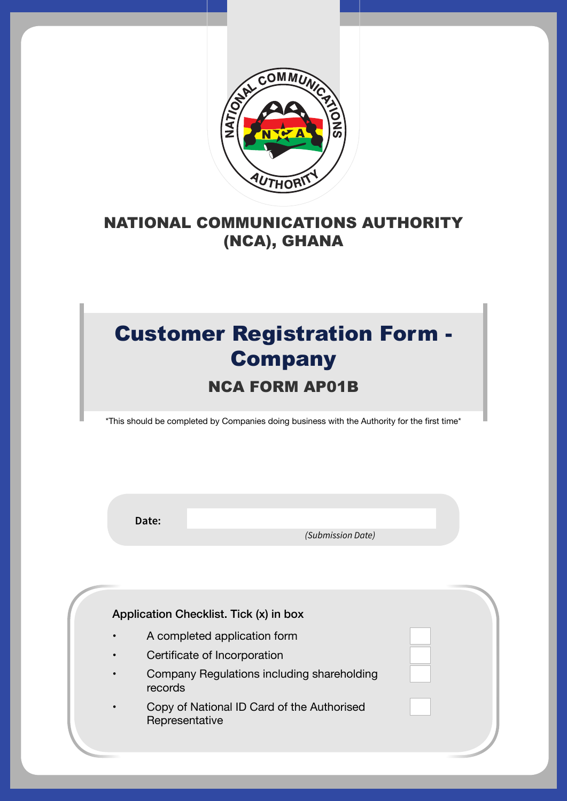

### NATIONAL COMMUNICATIONS AUTHORITY (NCA), GHANA

## Customer Registration Form - **Company** NCA FORM AP01B

\*This should be completed by Companies doing business with the Authority for the first time\*

**Date:**

 *(Submission Date)*

Application Checklist. Tick (x) in box A completed application form Certificate of Incorporation Company Regulations including shareholding records Copy of National ID Card of the Authorised Representative

 $\mathcal{N}_{\mathcal{A}}$  and  $\mathcal{N}_{\mathcal{A}}$  are  $\mathcal{N}_{\mathcal{A}}$  and  $\mathcal{N}_{\mathcal{A}}$  and  $\mathcal{N}_{\mathcal{A}}$  are  $\mathcal{N}_{\mathcal{A}}$  and  $\mathcal{N}_{\mathcal{A}}$  are  $\mathcal{N}_{\mathcal{A}}$  and  $\mathcal{N}_{\mathcal{A}}$  are  $\mathcal{N}_{\mathcal{A}}$  and  $\mathcal{N}_{\mathcal{A}}$  are  $\mathcal{N}_{\mathcal{A$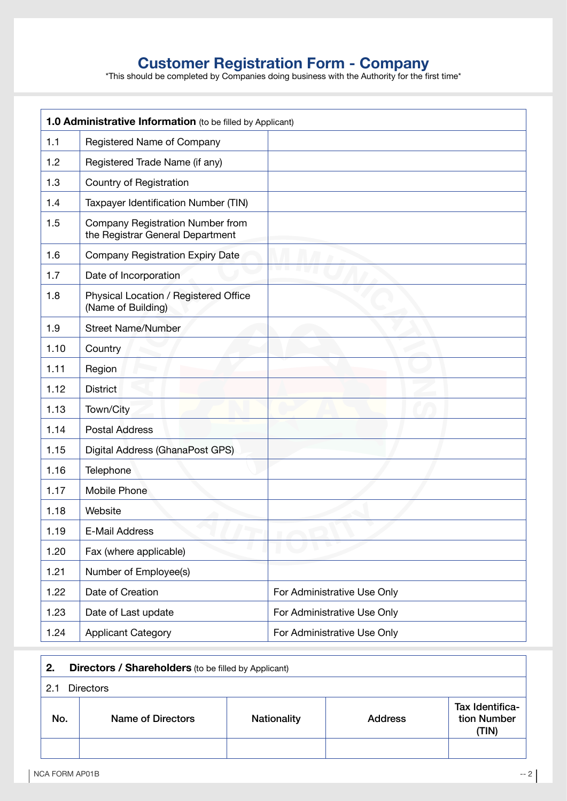# **Customer Registration Form - Company** <sup>\*This should be completed by Companies doing business with the Authority for the first time\*</sup>

| <b>1.0 Administrative Information</b> (to be filled by Applicant) |                                                                      |                             |
|-------------------------------------------------------------------|----------------------------------------------------------------------|-----------------------------|
| 1.1                                                               | Registered Name of Company                                           |                             |
| 1.2                                                               | Registered Trade Name (if any)                                       |                             |
| 1.3                                                               | Country of Registration                                              |                             |
| 1.4                                                               | Taxpayer Identification Number (TIN)                                 |                             |
| 1.5                                                               | Company Registration Number from<br>the Registrar General Department |                             |
| 1.6                                                               | <b>Company Registration Expiry Date</b>                              |                             |
| 1.7                                                               | Date of Incorporation                                                |                             |
| 1.8                                                               | Physical Location / Registered Office<br>(Name of Building)          |                             |
| 1.9                                                               | <b>Street Name/Number</b>                                            |                             |
| 1.10                                                              | Country                                                              |                             |
| 1.11                                                              | Region                                                               |                             |
| 1.12                                                              | <b>District</b>                                                      |                             |
| 1.13                                                              | Town/City                                                            |                             |
| 1.14                                                              | <b>Postal Address</b>                                                |                             |
| 1.15                                                              | Digital Address (GhanaPost GPS)                                      |                             |
| 1.16                                                              | Telephone                                                            |                             |
| 1.17                                                              | Mobile Phone                                                         |                             |
| 1.18                                                              | Website                                                              |                             |
| 1.19                                                              | E-Mail Address                                                       |                             |
| 1.20                                                              | Fax (where applicable)                                               |                             |
| 1.21                                                              | Number of Employee(s)                                                |                             |
| 1.22                                                              | Date of Creation                                                     | For Administrative Use Only |
| 1.23                                                              | Date of Last update                                                  | For Administrative Use Only |
| 1.24                                                              | <b>Applicant Category</b>                                            | For Administrative Use Only |

| 2.  | <b>Directors / Shareholders</b> (to be filled by Applicant)        |  |                                |  |
|-----|--------------------------------------------------------------------|--|--------------------------------|--|
| 2.1 | <b>Directors</b>                                                   |  |                                |  |
| No. | Name of Directors<br><b>Nationality</b><br><b>Address</b><br>(TIN) |  | Tax Identifica-<br>tion Number |  |
|     |                                                                    |  |                                |  |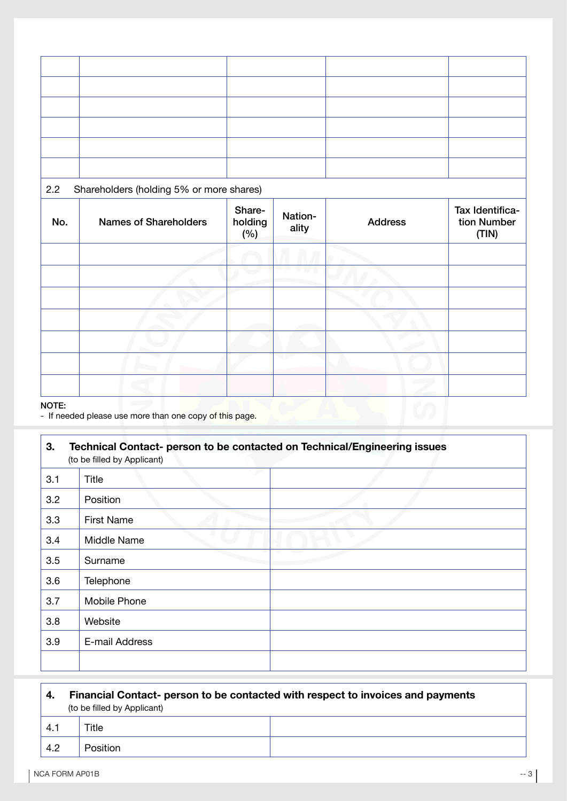#### 2.2 Shareholders (holding 5% or more shares)

| No. | <b>Names of Shareholders</b> | Share-<br>holding<br>(%) | Nation-<br>ality | <b>Address</b> | Tax Identifica-<br>tion Number<br>(TIN) |
|-----|------------------------------|--------------------------|------------------|----------------|-----------------------------------------|
|     |                              |                          |                  |                |                                         |
|     |                              |                          |                  |                |                                         |
|     |                              |                          |                  |                |                                         |
|     |                              |                          |                  |                |                                         |
|     |                              |                          |                  |                |                                         |
|     |                              |                          |                  |                |                                         |
|     |                              |                          |                  |                |                                         |

#### NOTE:

**r** 

- If needed please use more than one copy of this page.

| 3.  | Technical Contact- person to be contacted on Technical/Engineering issues<br>(to be filled by Applicant) |  |  |  |
|-----|----------------------------------------------------------------------------------------------------------|--|--|--|
| 3.1 | Title                                                                                                    |  |  |  |
| 3.2 | Position                                                                                                 |  |  |  |
| 3.3 | <b>First Name</b>                                                                                        |  |  |  |
| 3.4 | Middle Name                                                                                              |  |  |  |
| 3.5 | Surname                                                                                                  |  |  |  |
| 3.6 | Telephone                                                                                                |  |  |  |
| 3.7 | Mobile Phone                                                                                             |  |  |  |
| 3.8 | Website                                                                                                  |  |  |  |
| 3.9 | E-mail Address                                                                                           |  |  |  |
|     |                                                                                                          |  |  |  |

| $\mathbf{4}$ | Financial Contact- person to be contacted with respect to invoices and payments<br>(to be filled by Applicant) |  |
|--------------|----------------------------------------------------------------------------------------------------------------|--|
| 4.1          | Title                                                                                                          |  |
| 4.2          | <b>Position</b>                                                                                                |  |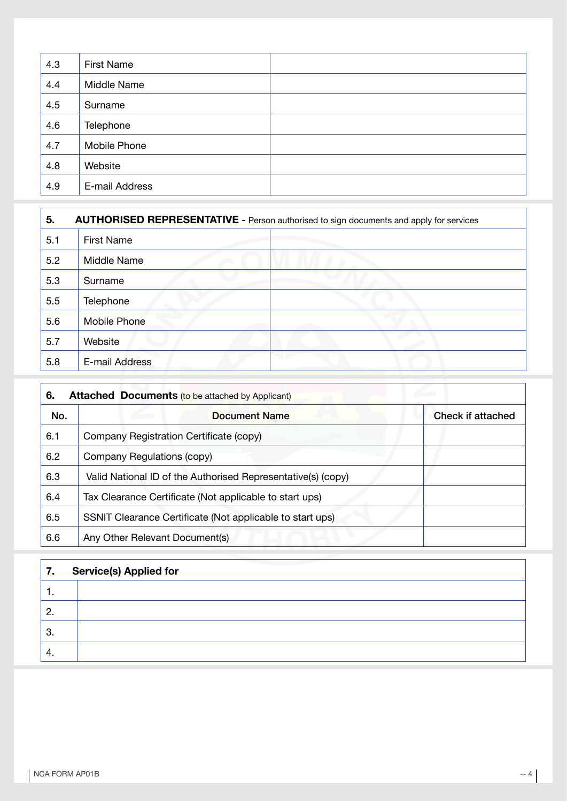| 4.3 | <b>First Name</b> |  |
|-----|-------------------|--|
| 4.4 | Middle Name       |  |
| 4.5 | Surname           |  |
| 4.6 | Telephone         |  |
| 4.7 | Mobile Phone      |  |
| 4.8 | Website           |  |
| 4.9 | E-mail Address    |  |

| 5.  | AUTHORISED REPRESENTATIVE - Person authorised to sign documents and apply for services |  |
|-----|----------------------------------------------------------------------------------------|--|
| 5.1 | <b>First Name</b>                                                                      |  |
| 5.2 | Middle Name                                                                            |  |
| 5.3 | Surname                                                                                |  |
| 5.5 | Telephone                                                                              |  |
| 5.6 | <b>Mobile Phone</b>                                                                    |  |
| 5.7 | Website                                                                                |  |
| 5.8 | E-mail Address                                                                         |  |

| 6.  | <b>Attached Documents</b> (to be attached by Applicant)      |                   |  |
|-----|--------------------------------------------------------------|-------------------|--|
| No. | Document Name                                                | Check if attached |  |
| 6.1 | Company Registration Certificate (copy)                      |                   |  |
| 6.2 | Company Regulations (copy)                                   |                   |  |
| 6.3 | Valid National ID of the Authorised Representative(s) (copy) |                   |  |
| 6.4 | Tax Clearance Certificate (Not applicable to start ups)      |                   |  |
| 6.5 | SSNIT Clearance Certificate (Not applicable to start ups)    |                   |  |
| 6.6 | Any Other Relevant Document(s)                               |                   |  |

| 7.   | <b>Service(s) Applied for</b> |
|------|-------------------------------|
| .    |                               |
| 2.   |                               |
| ່ 3. |                               |
| 4.   |                               |